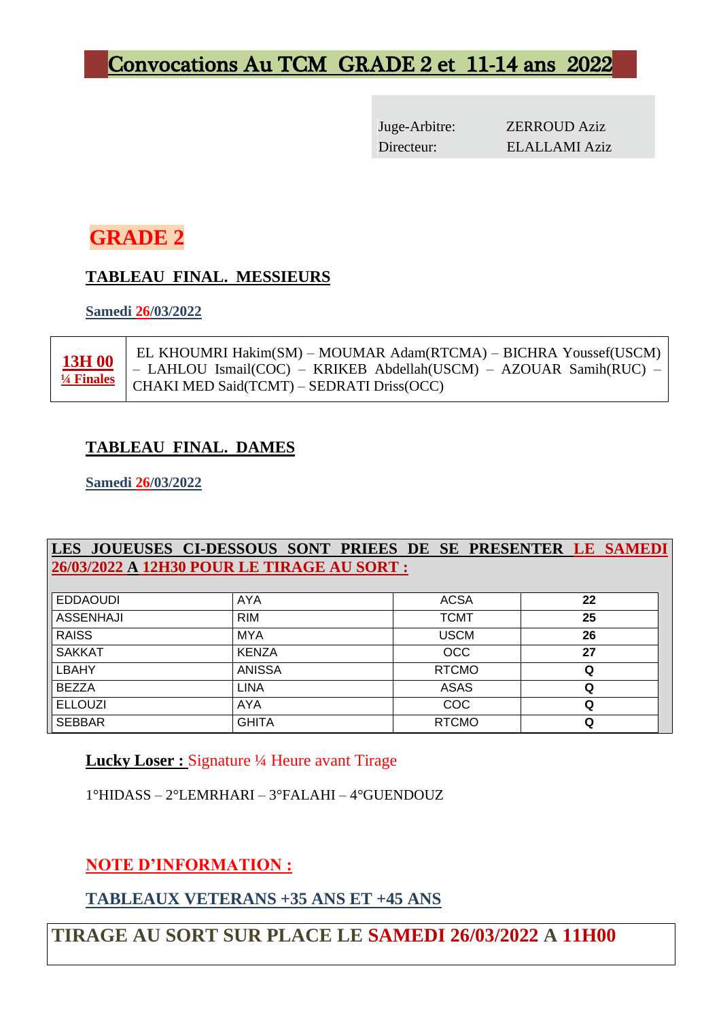# Convocations Au TCM GRADE 2 et 11-14 ans 2022

Juge-Arbitre: ZERROUD Aziz Directeur: ELALLAMI Aziz

# **GRADE 2**

### **TABLEAU FINAL. MESSIEURS**

**Samedi 26/03/2022**

**13H 00 ¼ Finales**

EL KHOUMRI Hakim(SM) – MOUMAR Adam(RTCMA) – BICHRA Youssef(USCM) – LAHLOU Ismail(COC) – KRIKEB Abdellah(USCM) – AZOUAR Samih(RUC) – CHAKI MED Said(TCMT) – SEDRATI Driss(OCC)

# **TABLEAU FINAL. DAMES**

**Samedi 26/03/2022**

### **LES JOUEUSES CI-DESSOUS SONT PRIEES DE SE PRESENTER LE SAMEDI 26/03/2022 A 12H30 POUR LE TIRAGE AU SORT :**

| <b>EDDAOUDI</b>  | AYA           | <b>ACSA</b>  | 22 |
|------------------|---------------|--------------|----|
| <b>ASSENHAJI</b> | <b>RIM</b>    | <b>TCMT</b>  | 25 |
| <b>RAISS</b>     | <b>MYA</b>    | <b>USCM</b>  | 26 |
| <b>SAKKAT</b>    | <b>KENZA</b>  | <b>OCC</b>   | 27 |
| <b>LBAHY</b>     | <b>ANISSA</b> | <b>RTCMO</b> | Q  |
| <b>BEZZA</b>     | LINA          | <b>ASAS</b>  | Q  |
| <b>ELLOUZI</b>   | AYA           | <b>COC</b>   | Q  |
| <b>SEBBAR</b>    | <b>GHITA</b>  | <b>RTCMO</b> | Q  |

**Lucky Loser :** Signature ¼ Heure avant Tirage

1°HIDASS – 2°LEMRHARI – 3°FALAHI – 4°GUENDOUZ

**NOTE D'INFORMATION :**

# **TABLEAUX VETERANS +35 ANS ET +45 ANS**

# **TIRAGE AU SORT SUR PLACE LE SAMEDI 26/03/2022 A 11H00**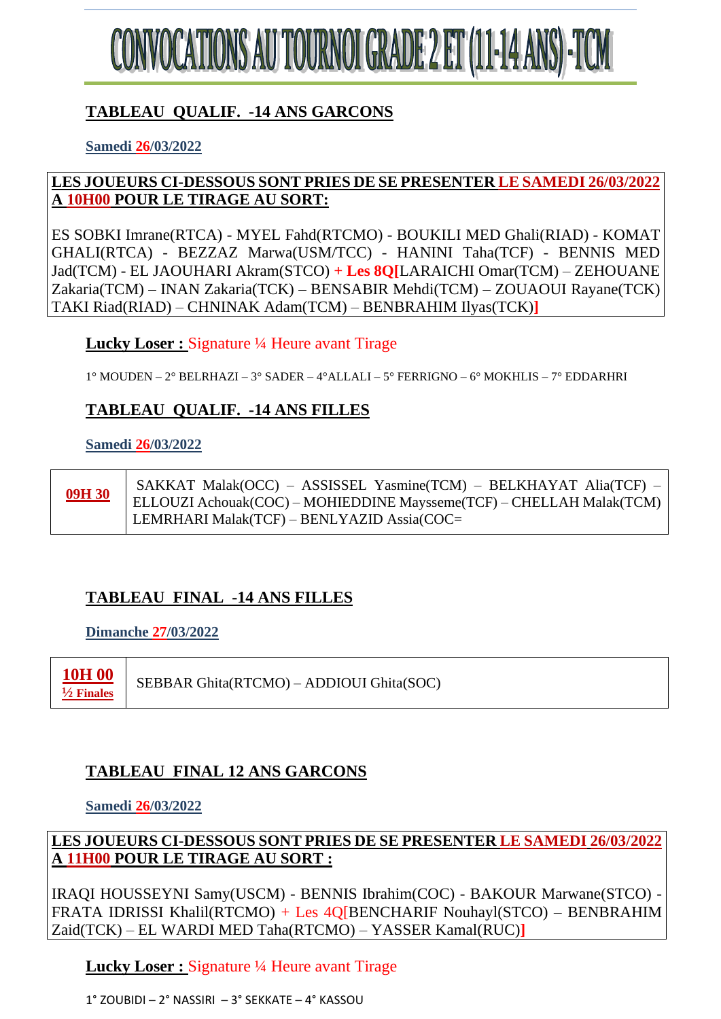

# **TABLEAU QUALIF. -14 ANS GARCONS**

**Samedi 26/03/2022**

### **LES JOUEURS CI-DESSOUS SONT PRIES DE SE PRESENTER LE SAMEDI 26/03/2022 A 10H00 POUR LE TIRAGE AU SORT:**

ES SOBKI Imrane(RTCA) - MYEL Fahd(RTCMO) - BOUKILI MED Ghali(RIAD) - KOMAT GHALI(RTCA) - BEZZAZ Marwa(USM/TCC) - HANINI Taha(TCF) - BENNIS MED Jad(TCM) - EL JAOUHARI Akram(STCO) **+ Les 8Q[**LARAICHI Omar(TCM) – ZEHOUANE Zakaria(TCM) – INAN Zakaria(TCK) – BENSABIR Mehdi(TCM) – ZOUAOUI Rayane(TCK) TAKI Riad(RIAD) – CHNINAK Adam(TCM) – BENBRAHIM Ilyas(TCK)**]**

**Lucky Loser :** Signature ¼ Heure avant Tirage

1° MOUDEN – 2° BELRHAZI – 3° SADER – 4°ALLALI – 5° FERRIGNO – 6° MOKHLIS – 7° EDDARHRI

### **TABLEAU QUALIF. -14 ANS FILLES**

### **Samedi 26/03/2022**

**09H 30** SAKKAT Malak(OCC) – ASSISSEL Yasmine(TCM) – BELKHAYAT Alia(TCF) – ELLOUZI Achouak(COC) – MOHIEDDINE Maysseme(TCF) – CHELLAH Malak(TCM) LEMRHARI Malak(TCF) – BENLYAZID Assia(COC=

# **TABLEAU FINAL -14 ANS FILLES**

### **Dimanche 27/03/2022**

**10H 00 ½ Finales**

SEBBAR Ghita(RTCMO) – ADDIOUI Ghita(SOC)

# **TABLEAU FINAL 12 ANS GARCONS**

### **Samedi 26/03/2022**

**LES JOUEURS CI-DESSOUS SONT PRIES DE SE PRESENTER LE SAMEDI 26/03/2022 A 11H00 POUR LE TIRAGE AU SORT :**

IRAQI HOUSSEYNI Samy(USCM) - BENNIS Ibrahim(COC) - BAKOUR Marwane(STCO) - FRATA IDRISSI Khalil(RTCMO) + Les 4Q[BENCHARIF Nouhayl(STCO) – BENBRAHIM Zaid(TCK) – EL WARDI MED Taha(RTCMO) – YASSER Kamal(RUC)**]**

# **Lucky Loser :** Signature ¼ Heure avant Tirage

1° ZOUBIDI – 2° NASSIRI – 3° SEKKATE – 4° KASSOU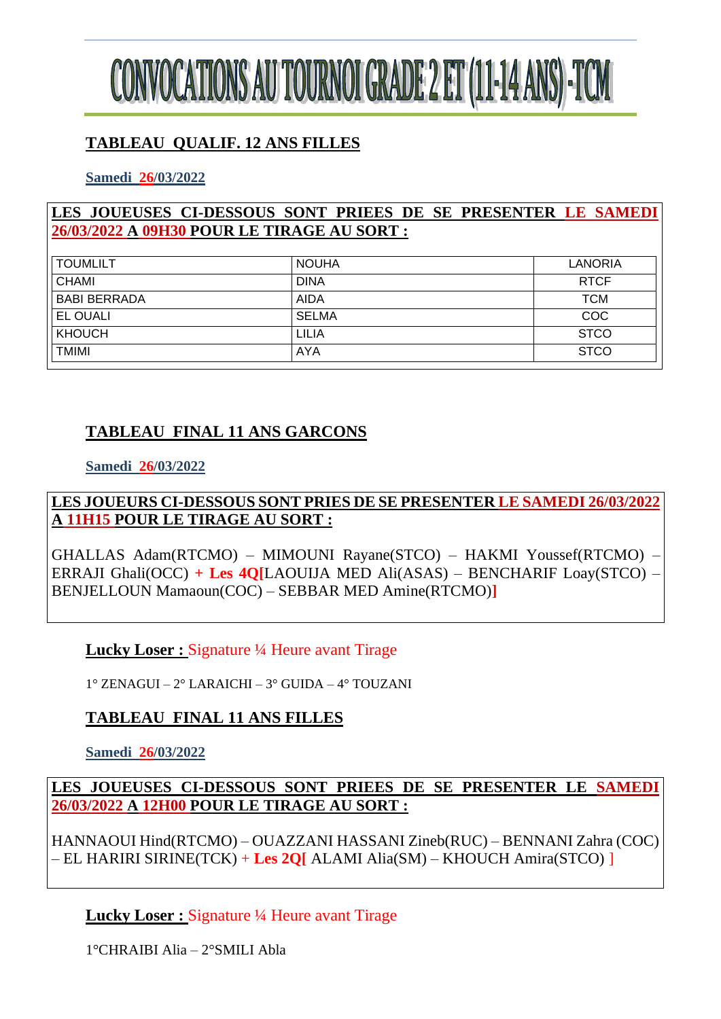

# **TABLEAU QUALIF. 12 ANS FILLES**

**Samedi 26/03/2022**

### **LES JOUEUSES CI-DESSOUS SONT PRIEES DE SE PRESENTER LE SAMEDI 26/03/2022 A 09H30 POUR LE TIRAGE AU SORT :**

| <b>TOUMLILT</b>     | <b>NOUHA</b> | LANORIA     |
|---------------------|--------------|-------------|
| CHAMI               | <b>DINA</b>  | <b>RTCF</b> |
| <b>BABI BERRADA</b> | <b>AIDA</b>  | <b>TCM</b>  |
| <b>EL OUALI</b>     | <b>SELMA</b> | <b>COC</b>  |
| KHOUCH              | LILIA        | <b>STCO</b> |
| <b>TMIMI</b>        | <b>AYA</b>   | <b>STCO</b> |

# **TABLEAU FINAL 11 ANS GARCONS**

**Samedi 26/03/2022**

**LES JOUEURS CI-DESSOUS SONT PRIES DE SE PRESENTER LE SAMEDI 26/03/2022 A 11H15 POUR LE TIRAGE AU SORT :**

GHALLAS Adam(RTCMO) – MIMOUNI Rayane(STCO) – HAKMI Youssef(RTCMO) – ERRAJI Ghali(OCC) **+ Les 4Q[**LAOUIJA MED Ali(ASAS) – BENCHARIF Loay(STCO) – BENJELLOUN Mamaoun(COC) – SEBBAR MED Amine(RTCMO)**]**

### **Lucky Loser :** Signature ¼ Heure avant Tirage

1° ZENAGUI – 2° LARAICHI – 3° GUIDA – 4° TOUZANI

### **TABLEAU FINAL 11 ANS FILLES**

**Samedi 26/03/2022**

**LES JOUEUSES CI-DESSOUS SONT PRIEES DE SE PRESENTER LE SAMEDI 26/03/2022 A 12H00 POUR LE TIRAGE AU SORT :**

HANNAOUI Hind(RTCMO) – OUAZZANI HASSANI Zineb(RUC) – BENNANI Zahra (COC) – EL HARIRI SIRINE(TCK) + **Les 2Q[** ALAMI Alia(SM) – KHOUCH Amira(STCO) ]

**Lucky Loser :** Signature ¼ Heure avant Tirage

1°CHRAIBI Alia – 2°SMILI Abla